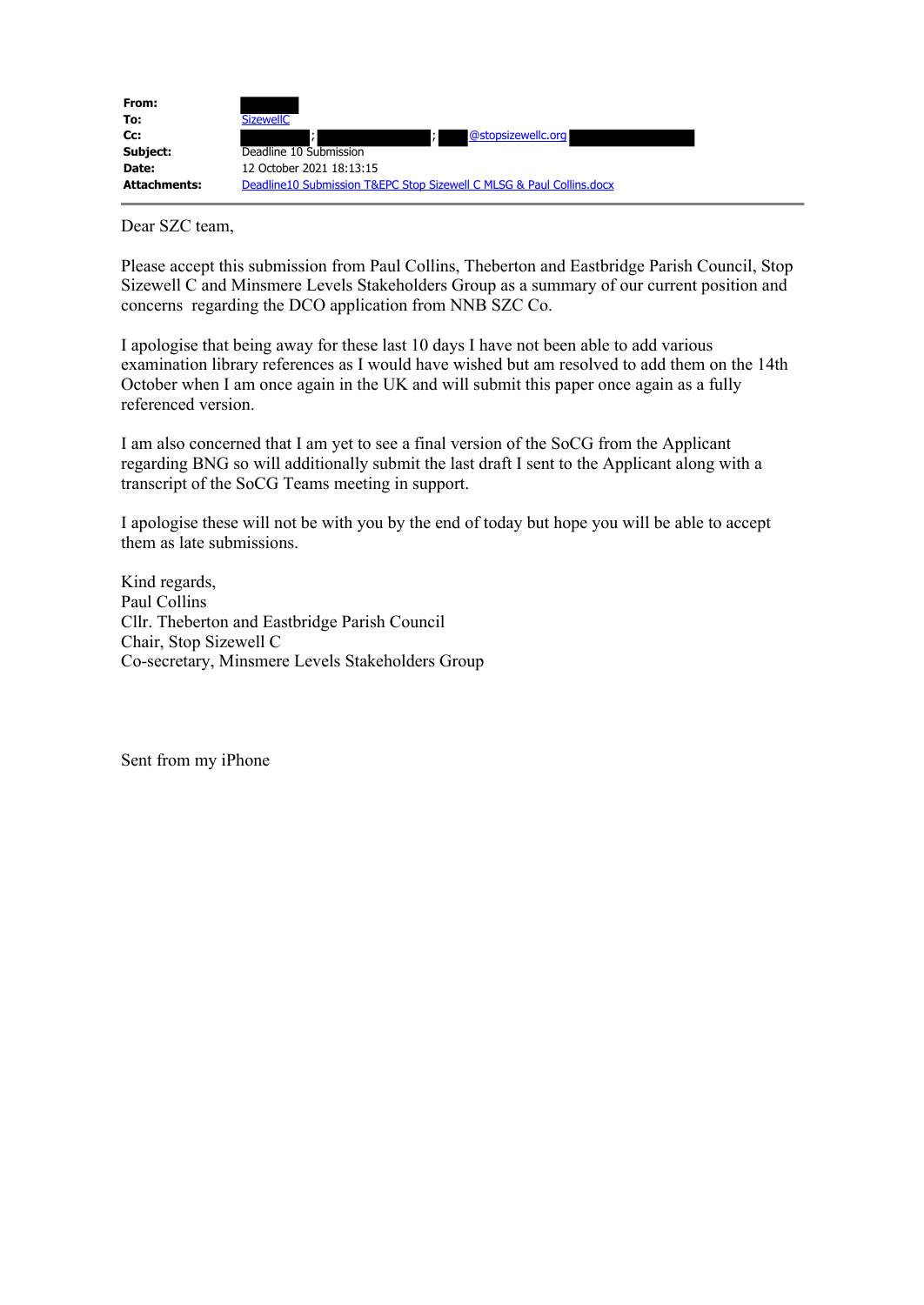

Dear SZC team,

Please accept this submission from Paul Collins, Theberton and Eastbridge Parish Council, Stop Sizewell C and Minsmere Levels Stakeholders Group as a summary of our current position and concerns regarding the DCO application from NNB SZC Co.

I apologise that being away for these last 10 days I have not been able to add various examination library references as I would have wished but am resolved to add them on the 14th October when I am once again in the UK and will submit this paper once again as a fully referenced version.

I am also concerned that I am yet to see a final version of the SoCG from the Applicant regarding BNG so will additionally submit the last draft I sent to the Applicant along with a transcript of the SoCG Teams meeting in support.

I apologise these will not be with you by the end of today but hope you will be able to accept them as late submissions.

Kind regards, Paul Collins Cllr. Theberton and Eastbridge Parish Council Chair, Stop Sizewell C Co-secretary, Minsmere Levels Stakeholders Group

Sent from my iPhone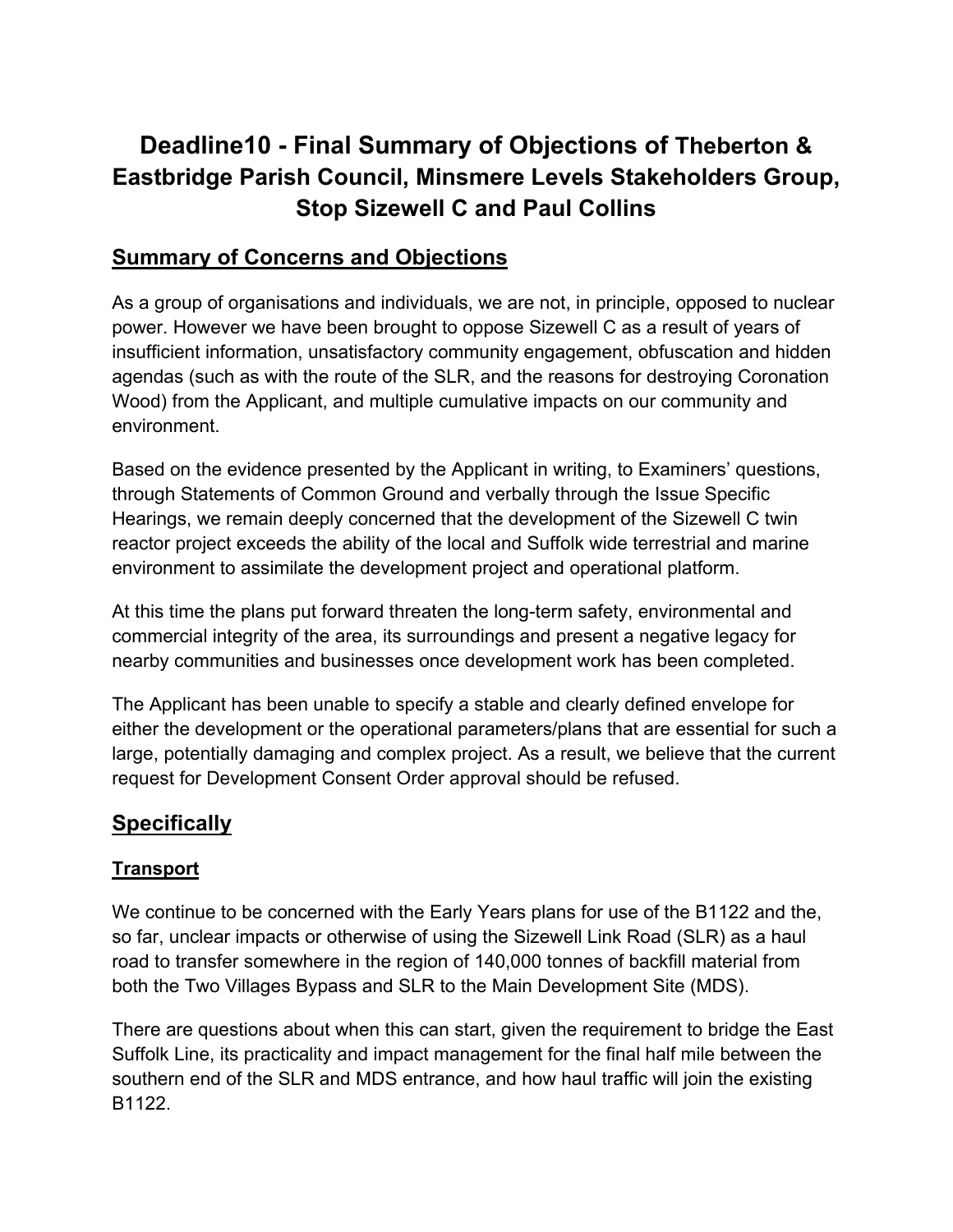# **Deadline10 - Final Summary of Objections of Theberton & Eastbridge Parish Council, Minsmere Levels Stakeholders Group, Stop Sizewell C and Paul Collins**

## **Summary of Concerns and Objections**

As a group of organisations and individuals, we are not, in principle, opposed to nuclear power. However we have been brought to oppose Sizewell C as a result of years of insufficient information, unsatisfactory community engagement, obfuscation and hidden agendas (such as with the route of the SLR, and the reasons for destroying Coronation Wood) from the Applicant, and multiple cumulative impacts on our community and environment.

Based on the evidence presented by the Applicant in writing, to Examiners' questions, through Statements of Common Ground and verbally through the Issue Specific Hearings, we remain deeply concerned that the development of the Sizewell C twin reactor project exceeds the ability of the local and Suffolk wide terrestrial and marine environment to assimilate the development project and operational platform.

At this time the plans put forward threaten the long-term safety, environmental and commercial integrity of the area, its surroundings and present a negative legacy for nearby communities and businesses once development work has been completed.

The Applicant has been unable to specify a stable and clearly defined envelope for either the development or the operational parameters/plans that are essential for such a large, potentially damaging and complex project. As a result, we believe that the current request for Development Consent Order approval should be refused.

# **Specifically**

## **Transport**

We continue to be concerned with the Early Years plans for use of the B1122 and the, so far, unclear impacts or otherwise of using the Sizewell Link Road (SLR) as a haul road to transfer somewhere in the region of 140,000 tonnes of backfill material from both the Two Villages Bypass and SLR to the Main Development Site (MDS).

There are questions about when this can start, given the requirement to bridge the East Suffolk Line, its practicality and impact management for the final half mile between the southern end of the SLR and MDS entrance, and how haul traffic will join the existing B1122.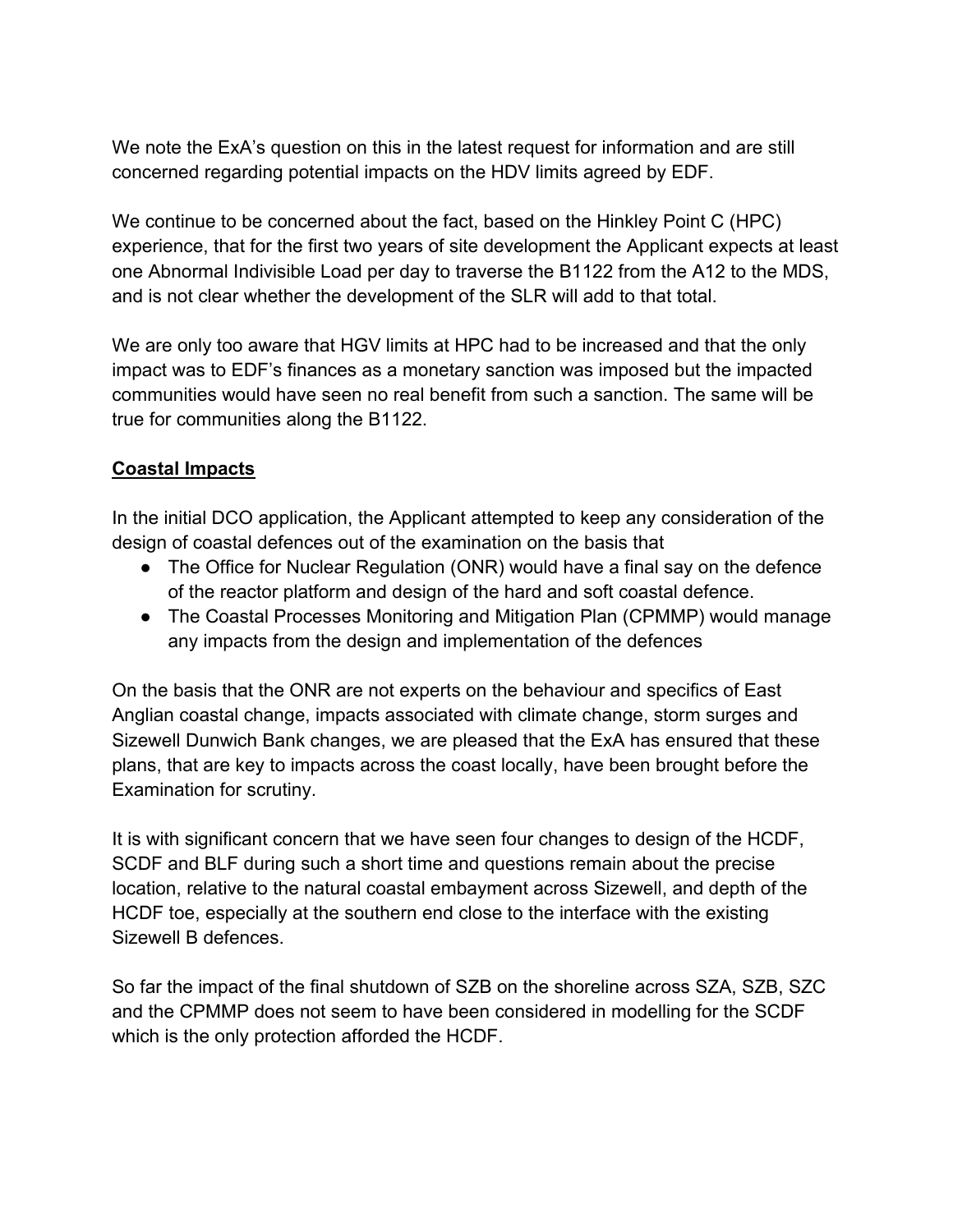We note the ExA's question on this in the latest request for information and are still concerned regarding potential impacts on the HDV limits agreed by EDF.

We continue to be concerned about the fact, based on the Hinkley Point C (HPC) experience, that for the first two years of site development the Applicant expects at least one Abnormal Indivisible Load per day to traverse the B1122 from the A12 to the MDS, and is not clear whether the development of the SLR will add to that total.

We are only too aware that HGV limits at HPC had to be increased and that the only impact was to EDF's finances as a monetary sanction was imposed but the impacted communities would have seen no real benefit from such a sanction. The same will be true for communities along the B1122.

### **Coastal Impacts**

In the initial DCO application, the Applicant attempted to keep any consideration of the design of coastal defences out of the examination on the basis that

- The Office for Nuclear Regulation (ONR) would have a final say on the defence of the reactor platform and design of the hard and soft coastal defence.
- The Coastal Processes Monitoring and Mitigation Plan (CPMMP) would manage any impacts from the design and implementation of the defences

On the basis that the ONR are not experts on the behaviour and specifics of East Anglian coastal change, impacts associated with climate change, storm surges and Sizewell Dunwich Bank changes, we are pleased that the ExA has ensured that these plans, that are key to impacts across the coast locally, have been brought before the Examination for scrutiny.

It is with significant concern that we have seen four changes to design of the HCDF, SCDF and BLF during such a short time and questions remain about the precise location, relative to the natural coastal embayment across Sizewell, and depth of the HCDF toe, especially at the southern end close to the interface with the existing Sizewell B defences.

So far the impact of the final shutdown of SZB on the shoreline across SZA, SZB, SZC and the CPMMP does not seem to have been considered in modelling for the SCDF which is the only protection afforded the HCDF.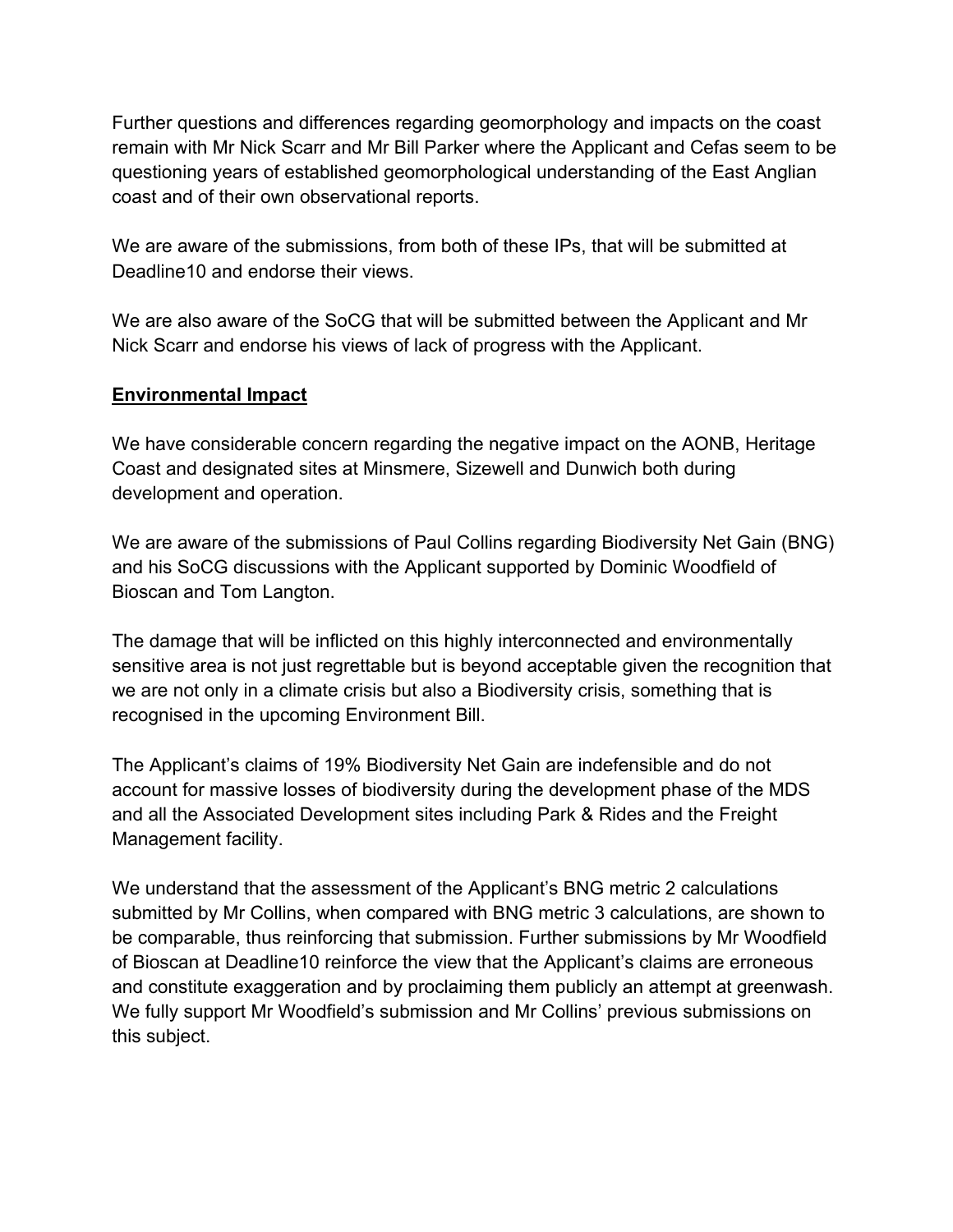Further questions and differences regarding geomorphology and impacts on the coast remain with Mr Nick Scarr and Mr Bill Parker where the Applicant and Cefas seem to be questioning years of established geomorphological understanding of the East Anglian coast and of their own observational reports.

We are aware of the submissions, from both of these IPs, that will be submitted at Deadline10 and endorse their views.

We are also aware of the SoCG that will be submitted between the Applicant and Mr Nick Scarr and endorse his views of lack of progress with the Applicant.

#### **Environmental Impact**

We have considerable concern regarding the negative impact on the AONB, Heritage Coast and designated sites at Minsmere, Sizewell and Dunwich both during development and operation.

We are aware of the submissions of Paul Collins regarding Biodiversity Net Gain (BNG) and his SoCG discussions with the Applicant supported by Dominic Woodfield of Bioscan and Tom Langton.

The damage that will be inflicted on this highly interconnected and environmentally sensitive area is not just regrettable but is beyond acceptable given the recognition that we are not only in a climate crisis but also a Biodiversity crisis, something that is recognised in the upcoming Environment Bill.

The Applicant's claims of 19% Biodiversity Net Gain are indefensible and do not account for massive losses of biodiversity during the development phase of the MDS and all the Associated Development sites including Park & Rides and the Freight Management facility.

We understand that the assessment of the Applicant's BNG metric 2 calculations submitted by Mr Collins, when compared with BNG metric 3 calculations, are shown to be comparable, thus reinforcing that submission. Further submissions by Mr Woodfield of Bioscan at Deadline10 reinforce the view that the Applicant's claims are erroneous and constitute exaggeration and by proclaiming them publicly an attempt at greenwash. We fully support Mr Woodfield's submission and Mr Collins' previous submissions on this subject.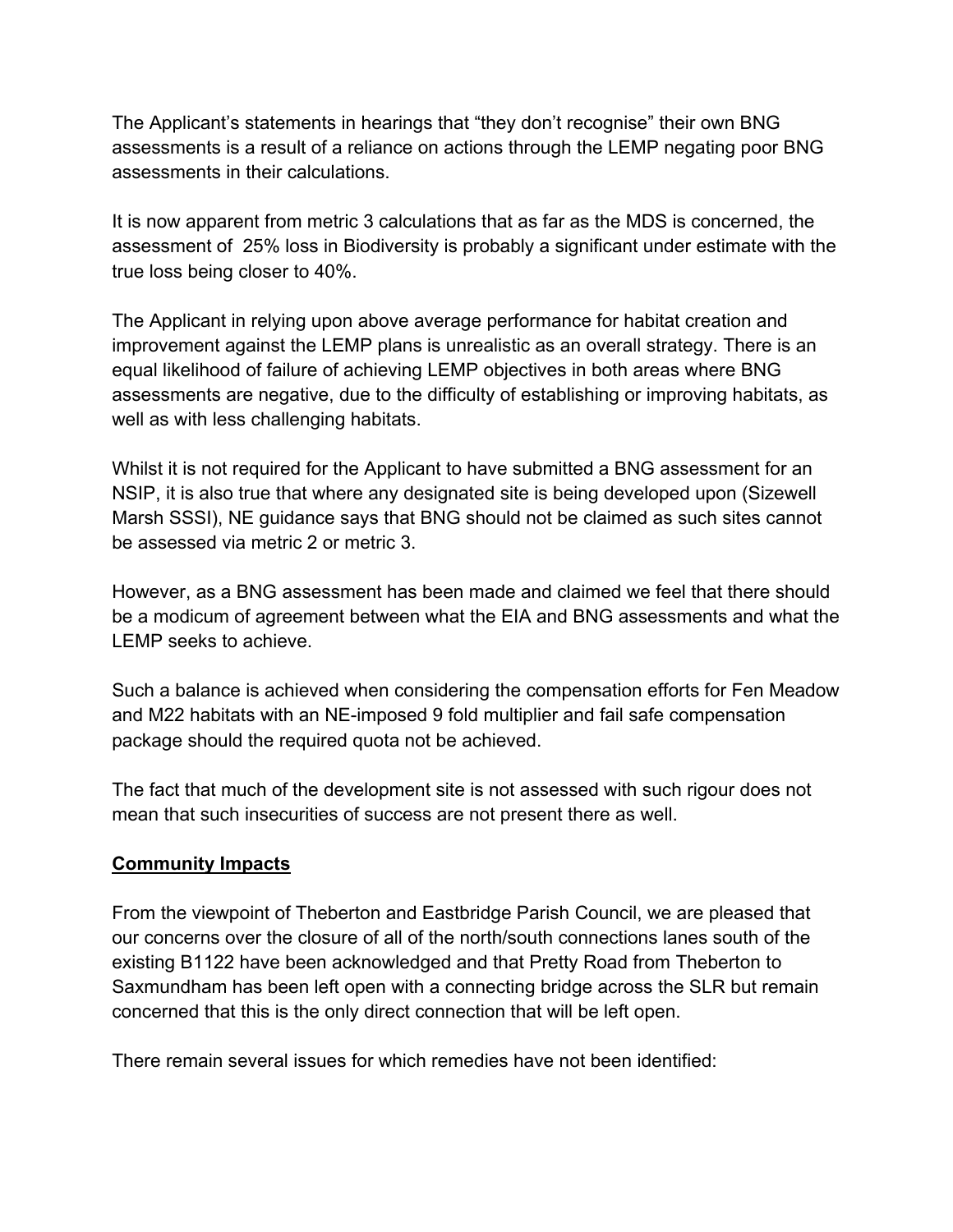The Applicant's statements in hearings that "they don't recognise" their own BNG assessments is a result of a reliance on actions through the LEMP negating poor BNG assessments in their calculations.

It is now apparent from metric 3 calculations that as far as the MDS is concerned, the assessment of 25% loss in Biodiversity is probably a significant under estimate with the true loss being closer to 40%.

The Applicant in relying upon above average performance for habitat creation and improvement against the LEMP plans is unrealistic as an overall strategy. There is an equal likelihood of failure of achieving LEMP objectives in both areas where BNG assessments are negative, due to the difficulty of establishing or improving habitats, as well as with less challenging habitats.

Whilst it is not required for the Applicant to have submitted a BNG assessment for an NSIP, it is also true that where any designated site is being developed upon (Sizewell Marsh SSSI), NE guidance says that BNG should not be claimed as such sites cannot be assessed via metric 2 or metric 3.

However, as a BNG assessment has been made and claimed we feel that there should be a modicum of agreement between what the EIA and BNG assessments and what the LEMP seeks to achieve.

Such a balance is achieved when considering the compensation efforts for Fen Meadow and M22 habitats with an NE-imposed 9 fold multiplier and fail safe compensation package should the required quota not be achieved.

The fact that much of the development site is not assessed with such rigour does not mean that such insecurities of success are not present there as well.

#### **Community Impacts**

From the viewpoint of Theberton and Eastbridge Parish Council, we are pleased that our concerns over the closure of all of the north/south connections lanes south of the existing B1122 have been acknowledged and that Pretty Road from Theberton to Saxmundham has been left open with a connecting bridge across the SLR but remain concerned that this is the only direct connection that will be left open.

There remain several issues for which remedies have not been identified: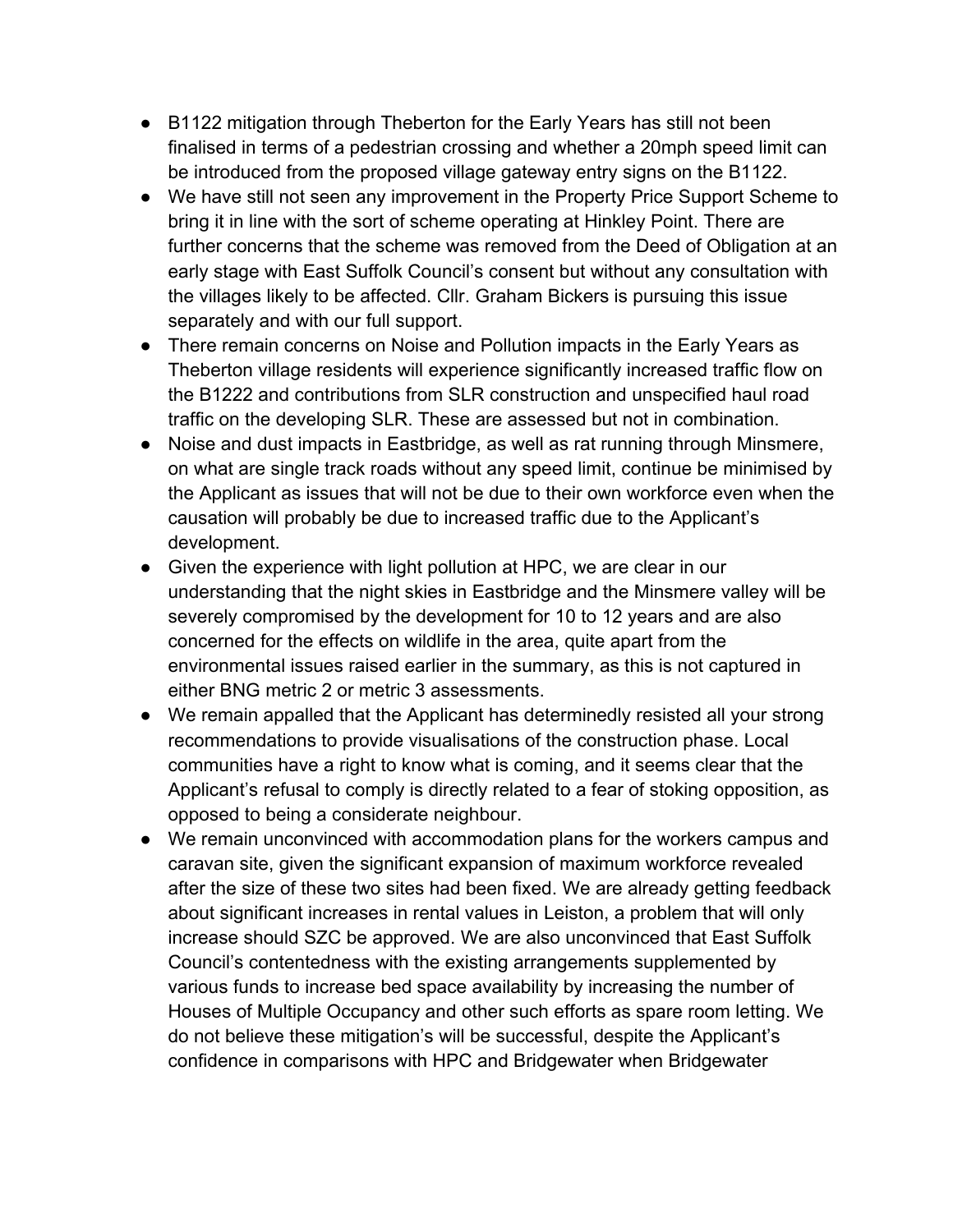- B1122 mitigation through Theberton for the Early Years has still not been finalised in terms of a pedestrian crossing and whether a 20mph speed limit can be introduced from the proposed village gateway entry signs on the B1122.
- We have still not seen any improvement in the Property Price Support Scheme to bring it in line with the sort of scheme operating at Hinkley Point. There are further concerns that the scheme was removed from the Deed of Obligation at an early stage with East Suffolk Council's consent but without any consultation with the villages likely to be affected. Cllr. Graham Bickers is pursuing this issue separately and with our full support.
- There remain concerns on Noise and Pollution impacts in the Early Years as Theberton village residents will experience significantly increased traffic flow on the B1222 and contributions from SLR construction and unspecified haul road traffic on the developing SLR. These are assessed but not in combination.
- Noise and dust impacts in Eastbridge, as well as rat running through Minsmere, on what are single track roads without any speed limit, continue be minimised by the Applicant as issues that will not be due to their own workforce even when the causation will probably be due to increased traffic due to the Applicant's development.
- Given the experience with light pollution at HPC, we are clear in our understanding that the night skies in Eastbridge and the Minsmere valley will be severely compromised by the development for 10 to 12 years and are also concerned for the effects on wildlife in the area, quite apart from the environmental issues raised earlier in the summary, as this is not captured in either BNG metric 2 or metric 3 assessments.
- We remain appalled that the Applicant has determinedly resisted all your strong recommendations to provide visualisations of the construction phase. Local communities have a right to know what is coming, and it seems clear that the Applicant's refusal to comply is directly related to a fear of stoking opposition, as opposed to being a considerate neighbour.
- We remain unconvinced with accommodation plans for the workers campus and caravan site, given the significant expansion of maximum workforce revealed after the size of these two sites had been fixed. We are already getting feedback about significant increases in rental values in Leiston, a problem that will only increase should SZC be approved. We are also unconvinced that East Suffolk Council's contentedness with the existing arrangements supplemented by various funds to increase bed space availability by increasing the number of Houses of Multiple Occupancy and other such efforts as spare room letting. We do not believe these mitigation's will be successful, despite the Applicant's confidence in comparisons with HPC and Bridgewater when Bridgewater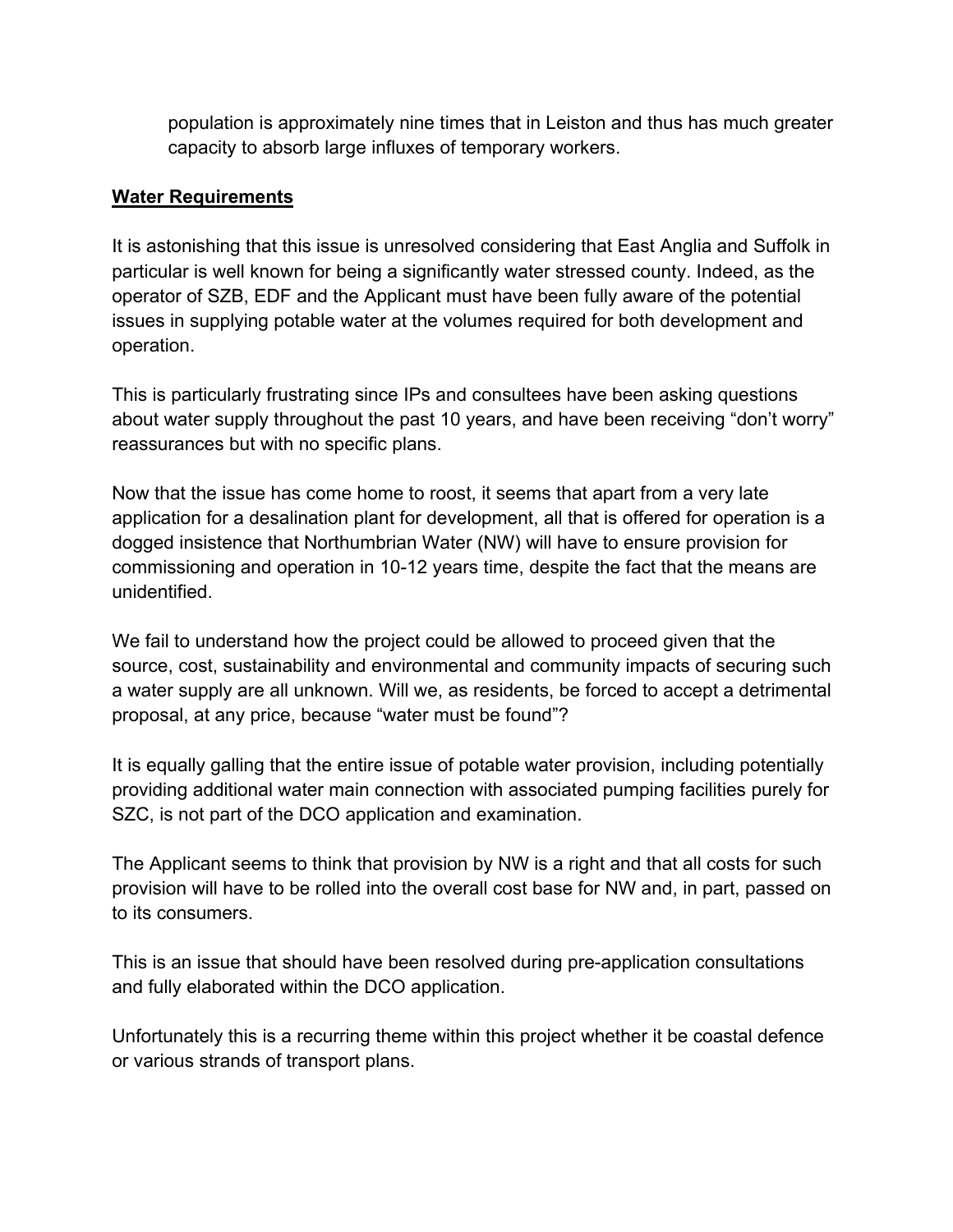population is approximately nine times that in Leiston and thus has much greater capacity to absorb large influxes of temporary workers.

#### **Water Requirements**

It is astonishing that this issue is unresolved considering that East Anglia and Suffolk in particular is well known for being a significantly water stressed county. Indeed, as the operator of SZB, EDF and the Applicant must have been fully aware of the potential issues in supplying potable water at the volumes required for both development and operation.

This is particularly frustrating since IPs and consultees have been asking questions about water supply throughout the past 10 years, and have been receiving "don't worry" reassurances but with no specific plans.

Now that the issue has come home to roost, it seems that apart from a very late application for a desalination plant for development, all that is offered for operation is a dogged insistence that Northumbrian Water (NW) will have to ensure provision for commissioning and operation in 10-12 years time, despite the fact that the means are unidentified.

We fail to understand how the project could be allowed to proceed given that the source, cost, sustainability and environmental and community impacts of securing such a water supply are all unknown. Will we, as residents, be forced to accept a detrimental proposal, at any price, because "water must be found"?

It is equally galling that the entire issue of potable water provision, including potentially providing additional water main connection with associated pumping facilities purely for SZC, is not part of the DCO application and examination.

The Applicant seems to think that provision by NW is a right and that all costs for such provision will have to be rolled into the overall cost base for NW and, in part, passed on to its consumers.

This is an issue that should have been resolved during pre-application consultations and fully elaborated within the DCO application.

Unfortunately this is a recurring theme within this project whether it be coastal defence or various strands of transport plans.